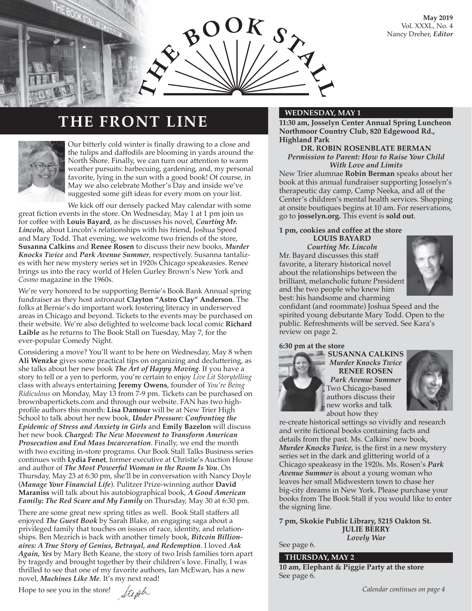**May 2019** Vol. XXXL, No. 4 Nancy Dreher, *Editor*



### **THE FRONT LINE**



Our bitterly cold winter is finally drawing to a close and the tulips and daffodils are blooming in yards around the North Shore. Finally, we can turn our attention to warm weather pursuits: barbecuing, gardening, and, my personal favorite, lying in the sun with a good book! Of course, in May we also celebrate Mother's Day and inside we've suggested some gift ideas for every mom on your list.

We kick off our densely packed May calendar with some great fiction events in the store. On Wednesday, May 1 at 1 pm join us for coffee with **Louis Bayard**, as he discusses his novel, *Courting Mr. Lincoln,* about Lincoln's relationships with his friend, Joshua Speed and Mary Todd. That evening, we welcome two friends of the store, **Susanna Calkins** and **Renee Rosen** to discuss their new books, *Murder Knocks Twice* and *Park Avenue Summer*, respectively. Susanna tantalizes with her new mystery series set in 1920s Chicago speakeasies. Renee brings us into the racy world of Helen Gurley Brown's New York and *Cosmo* magazine in the 1960s.

We're very honored to be supporting Bernie's Book Bank Annual spring fundraiser as they host astronaut **Clayton "Astro Clay" Anderson**. The folks at Bernie's do important work fostering literacy in underserved areas in Chicago and beyond. Tickets to the events may be purchased on their website. We're also delighted to welcome back local comic **Richard Laible** as he returns to The Book Stall on Tuesday, May 7, for the ever-popular Comedy Night.

Considering a move? You'll want to be here on Wednesday, May 8 when **Ali Wenzke** gives some practical tips on organizing and decluttering, as she talks about her new book *The Art of Happy Moving*. If you have a story to tell or a yen to perform, you're certain to enjoy *Live Lit Storytelling* class with always entertaining **Jeremy Owens**, founder of *You're Being Ridiculous* on Monday, May 13 from 7-9 pm. Tickets can be purchased on brownbapertickets.com and through our website. FAN has two highprofile authors this month: **Lisa Damour** will be at New Trier High School to talk about her new book, *Under Pressure: Confronting the Epidemic of Stress and Anxiety in Girls* and **Emily Bazelon** will discuss her new book *Charged: The New Movement to Transform American Prosecution and End Mass Incarceration*. Finally, we end the month with two exciting in-store programs. Our Book Stall Talks Business series continues with **Lydia Fenet**, former executive at Christie's Auction House and author of *The Most Powerful Woman in the Room Is You*. On Thursday, May 23 at 6:30 pm, she'll be in conversation with Nancy Doyle (*Manage Your Financial Life*). Pulitzer Prize-winning author **David Maraniss** will talk about his autobiographical book, *A Good American Family: The Red Scare and My Family* on Thursday, May 30 at 6:30 pm.

There are some great new spring titles as well. Book Stall staffers all enjoyed *The Guest Book* by Sarah Blake, an engaging saga about a privileged family that touches on issues of race, identity, and relationships. Ben Mezrich is back with another timely book, *Bitcoin Billionaires: A True Story of Genius, Betrayal, and Redemption*. I loved *Ask Again, Yes* by Mary Beth Keane, the story of two Irish families torn apart by tragedy and brought together by their children's love. Finally, I was thrilled to see that one of my favorite authors, Ian McEwan, has a new novel, *Machines Like Me*. It's my next read!

Hope to see you in the store!  $\int$ 

favorite, a literary historical novel about the relationships between the brilliant, melancholic future President



best: his handsome and charming confidant (and roommate) Joshua Speed and the spirited young debutante Mary Todd. Open to the public. Refreshments will be served. See Kara's review on page 2.

**11:30 am, Josselyn Center Annual Spring Luncheon Northmoor Country Club, 820 Edgewood Rd.,** 

**DR. ROBIN ROSENBLATE BERMAN** *Permission to Parent: How to Raise Your Child With Love and Limits* New Trier alumnae **Robin Berman** speaks about her book at this annual fundraiser supporting Josselyn's therapeutic day camp, Camp Neeka, and all of the Center's children's mental health services. Shopping at onsite boutiques begins at 10 am. For reservations,

go to **josselyn.org.** This event is **sold out**. **1 pm, cookies and coffee at the store LOUIS BAYARD** *Courting Mr. Lincoln*

Mr. Bayard discusses this staff

and the two people who knew him

#### **6:30 pm at the store**

**Highland Park**



**SUSANNA CALKINS**  *Murder Knocks Twice* **RENEE ROSEN** *Park Avenue Summer* Two Chicago-based authors discuss their new works and talk about how they



re-create historical settings so vividly and research and write fictional books containing facts and details from the past. Ms. Calkins' new book, *Murder Knocks Twice*, is the first in a new mystery series set in the dark and glittering world of a Chicago speakeasy in the 1920s. Ms. Rosen's *Park Avenue Summer* is about a young woman who leaves her small Midwestern town to chase her big-city dreams in New York. Please purchase your books from The Book Stall if you would like to enter the signing line.

**7 pm, Skokie Public Library, 5215 Oakton St. JULIE BERRY** *Lovely War* See page 6.

#### **THURSDAY, MAY 2**

**10 am, Elephant & Piggie Party at the store** See page 6.

*Calendar continues on page 4*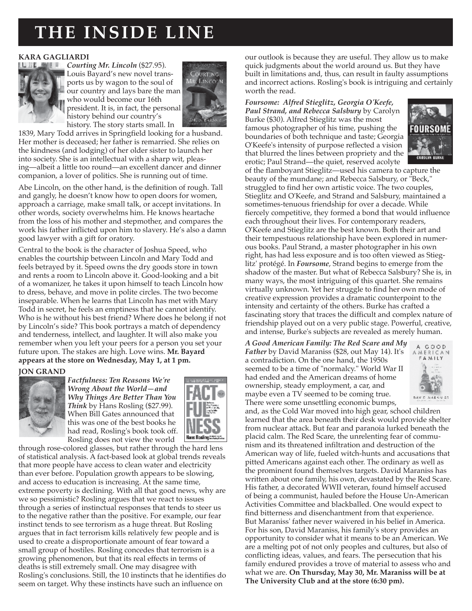## **THE INSIDE LINE**

#### **KARA GAGLIARDI**



*Courting Mr. Lincoln* (\$27.95). Louis Bayard's new novel transports us by wagon to the soul of our country and lays bare the man who would become our 16th president. It is, in fact, the personal history behind our country's history. The story starts small. In



1839, Mary Todd arrives in Springfield looking for a husband. Her mother is deceased; her father is remarried. She relies on the kindness (and lodging) of her older sister to launch her into society. She is an intellectual with a sharp wit, pleasing—albeit a little too round—an excellent dancer and dinner companion, a lover of politics. She is running out of time.

Abe Lincoln, on the other hand, is the definition of rough. Tall and gangly, he doesn't know how to open doors for women, approach a carriage, make small talk, or accept invitations. In other words, society overwhelms him. He knows heartache from the loss of his mother and stepmother, and compares the work his father inflicted upon him to slavery. He's also a damn good lawyer with a gift for oratory.

Central to the book is the character of Joshua Speed, who enables the courtship between Lincoln and Mary Todd and feels betrayed by it. Speed owns the dry goods store in town and rents a room to Lincoln above it. Good-looking and a bit of a womanizer, he takes it upon himself to teach Lincoln how to dress, behave, and move in polite circles. The two become inseparable. When he learns that Lincoln has met with Mary Todd in secret, he feels an emptiness that he cannot identify. Who is he without his best friend? Where does he belong if not by Lincoln's side? This book portrays a match of dependency and tenderness, intellect, and laughter. It will also make you remember when you left your peers for a person you set your future upon. The stakes are high. Love wins. **Mr. Bayard appears at the store on Wednesday, May 1, at 1 pm.**

#### **JON GRAND**



*Factfulness: Ten Reasons We're Wrong About the World—and Why Things Are Better Than You Think* by Hans Rosling (\$27.99). When Bill Gates announced that this was one of the best books he had read, Rosling's book took off. Rosling does not view the world



through rose-colored glasses, but rather through the hard lens of statistical analysis. A fact-based look at global trends reveals that more people have access to clean water and electricity than ever before. Population growth appears to be slowing, and access to education is increasing. At the same time, extreme poverty is declining. With all that good news, why are we so pessimistic? Rosling argues that we react to issues through a series of instinctual responses that tends to steer us to the negative rather than the positive. For example, our fear instinct tends to see terrorism as a huge threat. But Rosling argues that in fact terrorism kills relatively few people and is used to create a disproportionate amount of fear toward a small group of hostiles. Rosling concedes that terrorism is a growing phenomenon, but that its real effects in terms of deaths is still extremely small. One may disagree with Rosling's conclusions. Still, the 10 instincts that he identifies do seem on target. Why these instincts have such an influence on

our outlook is because they are useful. They allow us to make quick judgments about the world around us. But they have built in limitations and, thus, can result in faulty assumptions and incorrect actions. Rosling's book is intriguing and certainly worth the read.

#### *Foursome: Alfred Stieglitz, Georgia O'Keefe, Paul Strand, and Rebecca Salsbury* by Carolyn Burke (\$30). Alfred Stieglitz was the most famous photographer of his time, pushing the boundaries of both technique and taste; Georgia

O'Keefe's intensity of purpose reflected a vision that blurred the lines between propriety and the erotic; Paul Strand—the quiet, reserved acolyte



of the flamboyant Stieglitz—used his camera to capture the beauty of the mundane; and Rebecca Salsbury, or "Beck," struggled to find her own artistic voice. The two couples, Stieglitz and O'Keefe, and Strand and Salsbury, maintained a sometimes-tenuous friendship for over a decade. While fiercely competitive, they formed a bond that would influence each throughout their lives. For contemporary readers, O'Keefe and Stieglitz are the best known. Both their art and their tempestuous relationship have been explored in numerous books. Paul Strand, a master photographer in his own right, has had less exposure and is too often viewed as Stieglitz' protégé. In *Foursome*, Strand begins to emerge from the shadow of the master. But what of Rebecca Salsbury? She is, in many ways, the most intriguing of this quartet. She remains virtually unknown. Yet her struggle to find her own mode of creative expression provides a dramatic counterpoint to the intensity and certainty of the others. Burke has crafted a fascinating story that traces the difficult and complex nature of friendship played out on a very public stage. Powerful, creative, and intense, Burke's subjects are revealed as merely human.

*A Good American Family: The Red Scare and My Father* by David Maraniss (\$28, out May 14). It's a contradiction. On the one hand, the 1950s seemed to be a time of "normalcy." World War II had ended and the American dreams of home ownership, steady employment, a car, and maybe even a TV seemed to be coming true. There were some unsettling economic bumps,



and, as the Cold War moved into high gear, school children learned that the area beneath their desk would provide shelter from nuclear attack. But fear and paranoia lurked beneath the placid calm. The Red Scare, the unrelenting fear of communism and its threatened infiltration and destruction of the American way of life, fueled witch-hunts and accusations that pitted Americans against each other. The ordinary as well as the prominent found themselves targets. David Maraniss has written about one family, his own, devastated by the Red Scare. His father, a decorated WWII veteran, found himself accused of being a communist, hauled before the House Un-American Activities Committee and blackballed. One would expect to find bitterness and disenchantment from that experience. But Maraniss' father never waivered in his belief in America. For his son, David Maraniss, his family's story provides an opportunity to consider what it means to be an American. We are a melting pot of not only peoples and cultures, but also of conflicting ideas, values, and fears. The persecution that his family endured provides a trove of material to assess who and what we are. **On Thursday, May 30, Mr. Maraniss will be at The University Club and at the store (6:30 pm).**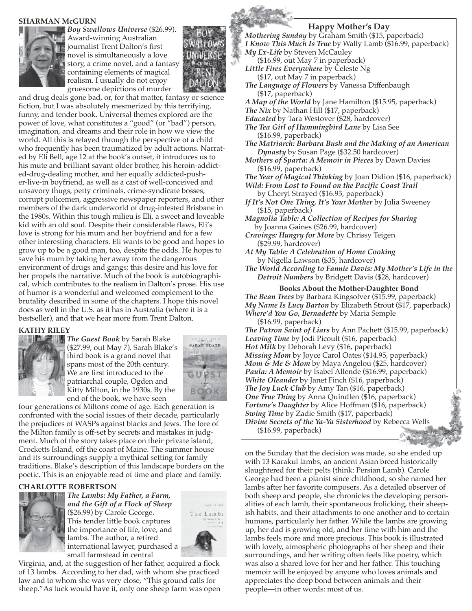#### **SHARMAN McGURN**



*Boy Swallows Universe* (\$26.99). Award-winning Australian journalist Trent Dalton's first novel is simultaneously a love story, a crime novel, and a fantasy containing elements of magical realism. I usually do not enjoy gruesome depictions of murder



and drug deals gone bad, or, for that matter, fantasy or science fiction, but I was absolutely mesmerized by this terrifying, funny, and tender book. Universal themes explored are the power of love, what constitutes a "good" (or "bad") person, imagination, and dreams and their role in how we view the world. All this is relayed through the perspective of a child who frequently has been traumatized by adult actions. Narrated by Eli Bell, age 12 at the book's outset, it introduces us to his mute and brilliant savant older brother, his heroin-addicted-drug-dealing mother, and her equally addicted-pusher-live-in boyfriend, as well as a cast of well-conceived and unsavory thugs, petty criminals, crime-syndicate bosses, corrupt policemen, aggressive newspaper reporters, and other members of the dark underworld of drug-infested Brisbane in the 1980s. Within this tough milieu is Eli, a sweet and loveable kid with an old soul. Despite their considerable flaws, Eli's love is strong for his mum and her boyfriend and for a few other interesting characters. Eli wants to be good and hopes to grow up to be a good man, too, despite the odds. He hopes to save his mum by taking her away from the dangerous environment of drugs and gangs; this desire and his love for her propels the narrative. Much of the book is autobiographical, which contributes to the realism in Dalton's prose. His use of humor is a wonderful and welcomed complement to the brutality described in some of the chapters. I hope this novel does as well in the U.S. as it has in Australia (where it is a bestseller), and that we hear more from Trent Dalton.

#### **KATHY RILEY**



*The Guest Book* by Sarah Blake (\$27.99, out May 7). Sarah Blake's third book is a grand novel that spans most of the 20th century. We are first introduced to the patriarchal couple, Ogden and Kitty Milton, in the 1930s. By the end of the book, we have seen



four generations of Miltons come of age. Each generation is confronted with the social issues of their decade, particularly the prejudices of WASPs against blacks and Jews. The lore of the Milton family is off-set by secrets and mistakes in judgment. Much of the story takes place on their private island, Crocketts Island, off the coast of Maine. The summer house and its surroundings supply a mythical setting for family traditions. Blake's description of this landscape borders on the poetic. This is an enjoyable read of time and place and family.

#### **CHARLOTTE ROBERTSON**



*The Lambs: My Father, a Farm, and the Gift of a Flock of Sheep* (\$26.99) by Carole George. This tender little book captures the importance of life, love, and lambs. The author, a retired international lawyer, purchased a small farmstead in central



Virginia, and, at the suggestion of her father, acquired a flock of 13 lambs. According to her dad, with whom she practiced law and to whom she was very close, "This ground calls for sheep."As luck would have it, only one sheep farm was open

#### **Happy Mother's Day**

*Mothering Sunday* by Graham Smith (\$15, paperback) *I Know This Much Is True* by Wally Lamb (\$16.99, paperback) *My Ex-Life* by Steven McCauley (\$16.99, out May 7 in paperback) *Little Fires Everywhere* by Celeste Ng (\$17, out May 7 in paperback) *The Language of Flowers* by Vanessa Diffenbaugh (\$17, paperback) *A Map of the World* by Jane Hamilton (\$15.95, paperback) *The Nix* by Nathan Hill (\$17, paperback) *Educated* by Tara Westover (\$28, hardcover) *The Tea Girl of Hummingbird Lane* by Lisa See (\$16.99, paperback) *The Matriarch: Barbara Bush and the Making of an American Dynasty* by Susan Page (\$32.50 hardcover) *Mothers of Sparta: A Memoir in Pieces* by Dawn Davies (\$16.99, paperback) *The Year of Magical Thinking* by Joan Didion (\$16, paperback) *Wild: From Lost to Found on the Pacific Coast Trail*  by Cheryl Strayed (\$16.95, paperback) *If It's Not One Thing, It's Your Mother* by Julia Sweeney (\$15, paperback) *Magnolia Table: A Collection of Recipes for Sharing* by Joanna Gaines (\$26.99, hardcover) *Cravings: Hungry for More* by Chrissy Teigen (\$29.99, hardcover) *At My Table: A Celebration of Home Cooking* by Nigella Lawson (\$35, hardcover) *The World According to Fannie Davis: My Mother's Life in the Detroit Numbers* by Bridgett Davis (\$28, hardcover) **Books About the Mother-Daughter Bond** *The Bean Trees* by Barbara Kingsolver (\$15.99, paperback) *My Name Is Lucy Barton* by Elizabeth Strout (\$17, paperback) *Where'd You Go, Bernadette* by Maria Semple (\$16.99, paperback) *The Patron Saint of Liars* by Ann Pachett (\$15.99, paperback) *Leaving Time* by Jodi Picoult (\$16, paperback) *Hot Milk* by Deborah Levy (\$16, paperback) *Missing Mom* by Joyce Carol Oates (\$14.95, paperback) *Mom & Me & Mom* by Maya Angelou (\$25, hardcover) *Paula: A Memoir* by Isabel Allende (\$16.99, paperback) *White Oleander* by Janet Finch (\$16, paperback) *The Joy Luck Club* by Amy Tan (\$16, paperback) *One True Thing* by Anna Quindlen (\$16, paperback) *Fortune's Daughter* by Alice Hoffman (\$16, paperback) *Swing Time* by Zadie Smith (\$17, paperback) *Divine Secrets of the Ya-Ya Sisterhood* by Rebecca Wells

(\$16.99, paperback)

on the Sunday that the decision was made, so she ended up with 13 Karakul lambs, an ancient Asian breed historically slaughtered for their pelts (think: Persian Lamb). Carole George had been a pianist since childhood, so she named her lambs after her favorite composers. As a detailed observer of both sheep and people, she chronicles the developing personalities of each lamb, their spontaneous frolicking, their sheepish habits, and their attachments to one another and to certain humans, particularly her father. While the lambs are growing up, her dad is growing old, and her time with him and the lambs feels more and more precious. This book is illustrated with lovely, atmospheric photographs of her sheep and their surroundings, and her writing often feels like poetry, which was also a shared love for her and her father. This touching memoir will be enjoyed by anyone who loves animals and appreciates the deep bond between animals and their people—in other words: most of us.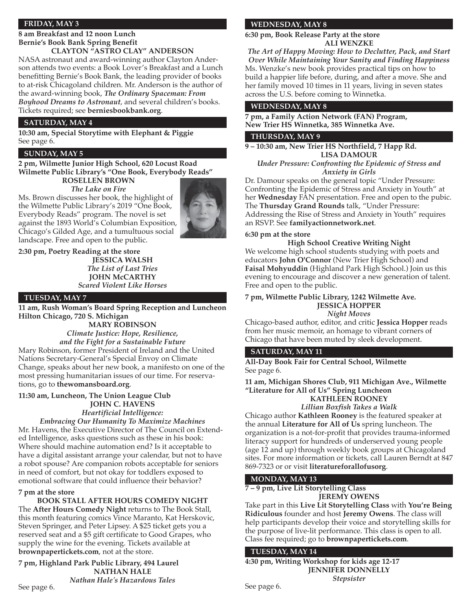#### **FRIDAY, MAY 3**

#### **8 am Breakfast and 12 noon Lunch Bernie's Book Bank Spring Benefit CLAYTON "ASTRO CLAY" ANDERSON**

NASA astronaut and award-winning author Clayton Anderson attends two events: a Book Lover's Breakfast and a Lunch benefitting Bernie's Book Bank, the leading provider of books to at-risk Chicagoland children. Mr. Anderson is the author of the award-winning book, *The Ordinary Spaceman: From Boyhood Dreams to Astronaut*, and several children's books. Tickets required; see **berniesbookbank.org**.

#### **SATURDAY, MAY 4**

**10:30 am, Special Storytime with Elephant & Piggie** See page 6.

#### **SUNDAY, MAY 5**

#### **2 pm, Wilmette Junior High School, 620 Locust Road Wilmette Public Library's "One Book, Everybody Reads"**

**ROSELLEN BROWN**

*The Lake on Fire* Ms. Brown discusses her book, the highlight of the Wilmette Public Library's 2019 "One Book, Everybody Reads" program. The novel is set against the 1893 World's Columbian Exposition, Chicago's Gilded Age, and a tumultuous social landscape. Free and open to the public.

#### **2:30 pm, Poetry Reading at the store**

**JESSICA WALSH** *The List of Last Tries* **JOHN McCARTHY** *Scared Violent Like Horses*

#### **TUESDAY, MAY 7**

**11 am, Rush Woman's Board Spring Reception and Luncheon Hilton Chicago, 720 S. Michigan**

> **MARY ROBINSON** *Climate Justice: Hope, Resilience, and the Fight for a Sustainable Future*

Mary Robinson, former President of Ireland and the United Nations Secretary-General's Special Envoy on Climate Change, speaks about her new book, a manifesto on one of the most pressing humanitarian issues of our time. For reservations, go to **thewomansboard.org**.

#### **11:30 am, Luncheon, The Union League Club JOHN C. HAVENS** *Heartificial Intelligence:*

*Embracing Our Humanity To Maximize Machines* Mr. Havens, the Executive Director of The Council on Extended Intelligence, asks questions such as these in his book: Where should machine automation end? Is it acceptable to have a digital assistant arrange your calendar, but not to have a robot spouse? Are companion robots acceptable for seniors in need of comfort, but not okay for toddlers exposed to emotional software that could influence their behavior?

#### **7 pm at the store**

See page 6.

**BOOK STALL AFTER HOURS COMEDY NIGHT** The **After Hours Comedy Night** returns to The Book Stall, this month featuring comics Vince Maranto, Kat Herskovic, Steven Springer, and Peter Lipsey. A \$25 ticket gets you a reserved seat and a \$5 gift certificate to Good Grapes, who supply the wine for the evening. Tickets available at **brownpapertickets.com**, not at the store.

**7 pm, Highland Park Public Library, 494 Laurel NATHAN HALE** *Nathan Hale's Hazardous Tales*

#### **WEDNESDAY, MAY 8**

**6:30 pm, Book Release Party at the store ALI WENZKE**

*The Art of Happy Moving: How to Declutter, Pack, and Start Over While Maintaining Your Sanity and Finding Happiness* Ms. Wenzke's new book provides practical tips on how to build a happier life before, during, and after a move. She and her family moved 10 times in 11 years, living in seven states across the U.S. before coming to Winnetka.

#### **WEDNESDAY, MAY 8**

**7 pm, a Family Action Network (FAN) Program, New Trier HS Winnetka, 385 Winnetka Ave.**

#### **THURSDAY, MAY 9**

**9 – 10:30 am, New Trier HS Northfield, 7 Happ Rd. LISA DAMOUR**

*Under Pressure: Confronting the Epidemic of Stress and Anxiety in Girls*

Dr. Damour speaks on the general topic "Under Pressure: Confronting the Epidemic of Stress and Anxiety in Youth" at her **Wednesday** FAN presentation. Free and open to the pubic. The **Thursday Grand Rounds** talk, "Under Pressure: Addressing the Rise of Stress and Anxiety in Youth" requires an RSVP. See **familyactionnetwork.net**.

#### **6:30 pm at the store**

**High School Creative Writing Night**

We welcome high school students studying with poets and educators **John O'Connor** (New Trier High School) and **Faisal Mohyuddin** (Highland Park High School.) Join us this evening to encourage and discover a new generation of talent. Free and open to the public.

**7 pm, Wilmette Public Library, 1242 Wilmette Ave. JESSICA HOPPER**

*Night Moves*

Chicago-based author, editor, and critic **Jessica Hopper** reads from her music memoir, an homage to vibrant corners of Chicago that have been muted by sleek development.

#### **SATURDAY, MAY 11**

**All-Day Book Fair for Central School, Wilmette** See page 6.

**11 am, Michigan Shores Club, 911 Michigan Ave., Wilmette "Literature for All of Us" Spring Luncheon KATHLEEN ROONEY**

*Lillian Boxfish Takes a Walk*

Chicago author **Kathleen Rooney** is the featured speaker at the annual **Literature for All of Us** spring luncheon. The organization is a not-for-profit that provides trauma-informed literacy support for hundreds of underserved young people (age 12 and up) through weekly book groups at Chicagoland sites. For more information or tickets, call Lauren Berndt at 847 869-7323 or or visit **literatureforallofusorg**.

#### **MONDAY, MAY 13**

**7 – 9 pm, Live Lit Storytelling Class**

**JEREMY OWENS**

Take part in this **Live Lit Storytelling Class** with **You're Being Ridiculous** founder and host **Jeremy Owens**. The class will help participants develop their voice and storytelling skills for the purpose of live-lit performance. This class is open to all. Class fee required; go to **brownpapertickets.com**.

#### **TUESDAY, MAY 14**

**4:30 pm, Writing Workshop for kids age 12-17 JENNIFER DONNELLY** *Stepsister*

See page 6.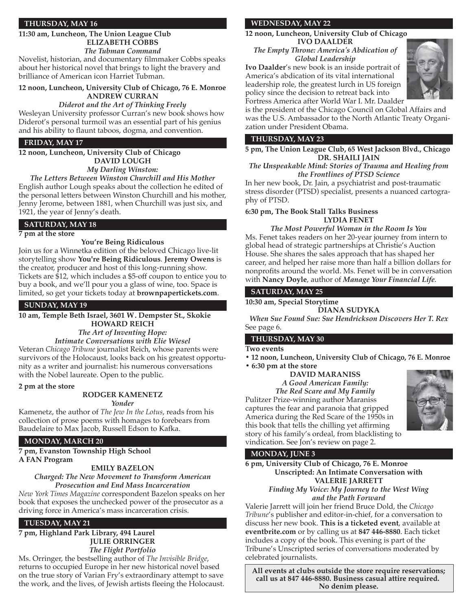#### **THURSDAY, MAY 16**

#### **11:30 am, Luncheon, The Union League Club ELIZABETH COBBS** *The Tubman Command*

Novelist, historian, and documentary filmmaker Cobbs speaks about her historical novel that brings to light the bravery and brilliance of American icon Harriet Tubman.

#### **12 noon, Luncheon, University Club of Chicago, 76 E. Monroe ANDREW CURRAN**

#### *Diderot and the Art of Thinking Freely*

Wesleyan University professor Curran's new book shows how Diderot's personal turmoil was an essential part of his genius and his ability to flaunt taboos, dogma, and convention.

#### **FRIDAY, MAY 17**

#### **12 noon, Luncheon, University Club of Chicago DAVID LOUGH** *My Darling Winston:*

*The Letters Between Winston Churchill and His Mother* English author Lough speaks about the collection he edited of the personal letters between Winston Churchill and his mother, Jenny Jerome, between 1881, when Churchill was just six, and 1921, the year of Jenny's death.

#### **SATURDAY, MAY 18**

#### **7 pm at the store**

#### **You're Being Ridiculous**

Join us for a Winnetka edition of the beloved Chicago live-lit storytelling show **You're Being Ridiculous**. **Jeremy Owens** is the creator, producer and host of this long-running show. Tickets are \$12, which includes a \$5-off coupon to entice you to buy a book, and we'll pour you a glass of wine, too. Space is limited, so get your tickets today at **brownpapertickets.com**.

#### **SUNDAY, MAY 19**

**10 am, Temple Beth Israel, 3601 W. Dempster St., Skokie HOWARD REICH**

> *The Art of Inventing Hope: Intimate Conversations with Elie Wiesel*

Veteran *Chicago Tribune* journalist Reich, whose parents were survivors of the Holocaust, looks back on his greatest opportunity as a writer and journalist: his numerous conversations with the Nobel laureate. Open to the public.

#### **2 pm at the store**

#### **RODGER KAMENETZ**

*Yonder*

Kamenetz, the author of *The Jew In the Lotus*, reads from his collection of prose poems with homages to forebears from Baudelaire to Max Jacob, Russell Edson to Kafka.

#### **MONDAY, MARCH 20**

**7 pm, Evanston Township High School A FAN Program**

#### **EMILY BAZELON**

*Charged: The New Movement to Transform American Prosecution and End Mass Incarceration*

*New York Times Magazine* correspondent Bazelon speaks on her book that exposes the unchecked power of the prosecutor as a driving force in America's mass incarceration crisis.

#### **TUESDAY, MAY 21**

#### **7 pm, Highland Park Library, 494 Laurel JULIE ORRINGER** *The Flight Portfolio*

Ms. Orringer, the bestselling author of *The Invisible Bridge*, returns to occupied Europe in her new historical novel based on the true story of Varian Fry's extraordinary attempt to save the work, and the lives, of Jewish artists fleeing the Holocaust.

#### **WEDNESDAY, MAY 22**

**12 noon, Luncheon, University Club of Chicago IVO DAALDER**

*The Empty Throne: America's Abdication of Global Leadership*

**Ivo Daalder**'s new book is an inside portrait of America's abdication of its vital international leadership role, the greatest lurch in US foreign policy since the decision to retreat back into Fortress America after World War I. Mr. Daalder



is the president of the Chicago Council on Global Affairs and was the U.S. Ambassador to the North Atlantic Treaty Organization under President Obama.

#### **THURSDAY, MAY 23**

**5 pm, The Union League Club, 65 West Jackson Blvd., Chicago DR. SHAILI JAIN**

*The Unspeakable Mind: Stories of Trauma and Healing from the Frontlines of PTSD Science* 

In her new book, Dr. Jain, a psychiatrist and post-traumatic stress disorder (PTSD) specialist, presents a nuanced cartography of PTSD.

#### **6:30 pm, The Book Stall Talks Business LYDIA FENET**

*The Most Powerful Woman in the Room Is You* Ms. Fenet takes readers on her 20-year journey from intern to global head of strategic partnerships at Christie's Auction House. She shares the sales approach that has shaped her career, and helped her raise more than half a billion dollars for nonprofits around the world. Ms. Fenet will be in conversation with **Nancy Doyle**, author of *Manage Your Financial Life*.

#### **SATURDAY, MAY 25**

**10:30 am, Special Storytime**

**DIANA SUDYKA**

*When Sue Found Sue: Sue Hendrickson Discovers Her T. Rex* See page 6.

#### **THURSDAY, MAY 30**

#### **Two events**

**• 12 noon, Luncheon, University Club of Chicago, 76 E. Monroe**

**• 6:30 pm at the store DAVID MARANISS**

*A Good American Family: The Red Scare and My Family* Pulitzer Prize-winning author Maraniss captures the fear and paranoia that gripped America during the Red Scare of the 1950s in this book that tells the chilling yet affirming story of his family's ordeal, from blacklisting to vindication. See Jon's review on page 2.



#### **MONDAY, JUNE 3**

**6 pm, University Club of Chicago, 76 E. Monroe Unscripted: An Intimate Conversation with VALERIE JARRETT** *Finding My Voice: My Journey to the West Wing* 

*and the Path Forward*

Valerie Jarrett will join her friend Bruce Dold, the *Chicago Tribune*'s publisher and editor-in-chief, for a conversation to discuss her new book. **This is a ticketed event**, available at **eventbrite.com** or by calling us at **847 446-8880**. Each ticket includes a copy of the book. This evening is part of the Tribune's Unscripted series of conversations moderated by celebrated journalists.

**All events at clubs outside the store require reservations; call us at 847 446-8880. Business casual attire required. No denim please.**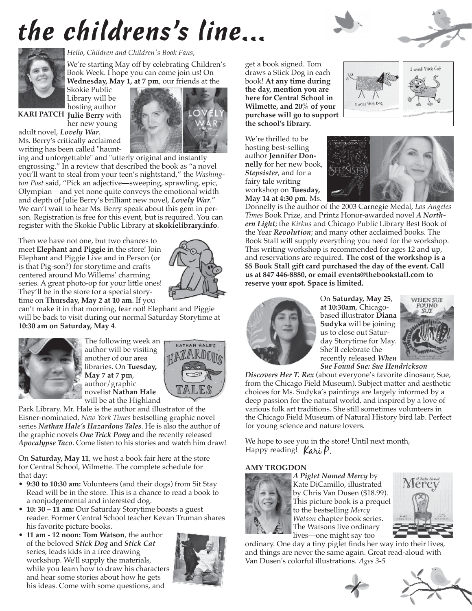# *the childrens's line...*





*Hello, Children and Children's Book Fans,*

We're starting May off by celebrating Children's Book Week. I hope you can come join us! On **Wednesday, May 1, at 7 pm**, our friends at the

Skokie Public Library will be hosting author

**KARI PATCH Julie Berry** with her new young



adult novel, *Lovely War*. Ms. Berry's critically acclaimed writing has been called "haunt-

ing and unforgettable" and "utterly original and instantly engrossing." In a review that described the book as "a novel you'll want to steal from your teen's nightstand," the *Washington Post* said, "Pick an adjective—sweeping, sprawling, epic, Olympian—and yet none quite conveys the emotional width and depth of Julie Berry's brilliant new novel, *Lovely War*." We can't wait to hear Ms. Berry speak about this gem in person. Registration is free for this event, but is required. You can register with the Skokie Public Library at **skokielibrary.info**.

Then we have not one, but two chances to meet **Elephant and Piggie** in the store! Join Elephant and Piggie Live and in Person (or is that Pig-son?) for storytime and crafts centered around Mo Willems' charming series. A great photo-op for your little ones! They'll be in the store for a special storytime on **Thursday, May 2 at 10 am**. If you



can't make it in that morning, fear not! Elephant and Piggie will be back to visit during our normal Saturday Storytime at **10:30 am on Saturday, May 4**.



The following week an author will be visiting another of our area libraries. On **Tuesday, May 7 at 7 pm**, author/graphic novelist **Nathan Hale** will be at the Highland



Park Library. Mr. Hale is the author and illustrator of the Eisner-nominated, *New York Times* bestselling graphic novel series *Nathan Hale's Hazardous Tales*. He is also the author of the graphic novels *One Trick Pony* and the recently released *Apocalypse Taco*. Come listen to his stories and watch him draw!

On **Saturday, May 11**, we host a book fair here at the store for Central School, Wilmette. The complete schedule for that day:

- **9:30 to 10:30 am:** Volunteers (and their dogs) from Sit Stay Read will be in the store. This is a chance to read a book to a nonjudgemental and interested dog.
- **10: 30 11 am:** Our Saturday Storytime boasts a guest reader. Former Central School teacher Kevan Truman shares his favorite picture books.
- **11 am 12 noon: Tom Watson**, the author of the beloved *Stick Dog* and *Stick Cat* series, leads kids in a free drawing workshop. We'll supply the materials, while you learn how to draw his characters and hear some stories about how he gets his ideas. Come with some questions, and



get a book signed. Tom draws a Stick Dog in each book! **At any time during the day, mention you are here for Central School in Wilmette, and 20% of your purchase will go to support the school's library.**

We're thrilled to be hosting best-selling author **Jennifer Donnelly** for her new book, *Stepsister*, and for a fairy tale writing workshop on **Tuesday, May 14 at 4:30 pm**. Ms.







Donnelly is the author of the 2003 Carnegie Medal, *Los Angeles Times* Book Prize, and Printz Honor-awarded novel *A Northern Light*; the *Kirkus* and Chicago Public Library Best Book of the Year *Revolution*; and many other acclaimed books. The Book Stall will supply everything you need for the workshop. This writing workshop is recommended for ages 12 and up, and reservations are required. **The cost of the workshop is a \$5 Book Stall gift card purchased the day of the event. Call us at 847 446-8880, or email events@thebookstall.com to reserve your spot. Space is limited.**



On **Saturday, May 25**, **at 10:30am**, Chicagobased illustrator **Diana Sudyka** will be joining us to close out Saturday Storytime for May. She'll celebrate the recently released *When Sue Found Sue: Sue Hendrickson* 



*Discovers Her T. Rex* (about everyone's favorite dinosaur, Sue, from the Chicago Field Museum). Subject matter and aesthetic choices for Ms. Sudyka's paintings are largely informed by a deep passion for the natural world, and inspired by a love of various folk art traditions. She still sometimes volunteers in the Chicago Field Museum of Natural History bird lab. Perfect for young science and nature lovers.

We hope to see you in the store! Until next month, Happy reading! Kari P.

#### **AMY TROGDON**



*A Piglet Named Mercy* by Kate DiCamillo, illustrated by Chris Van Dusen (\$18.99). This picture book is a prequel to the bestselling *Mercy Watson* chapter book series. The Watsons live ordinary lives—one might say too



ordinary. One day a tiny piglet finds her way into their lives, and things are never the same again. Great read-aloud with Van Dusen's colorful illustrations. *Ages 3-5*



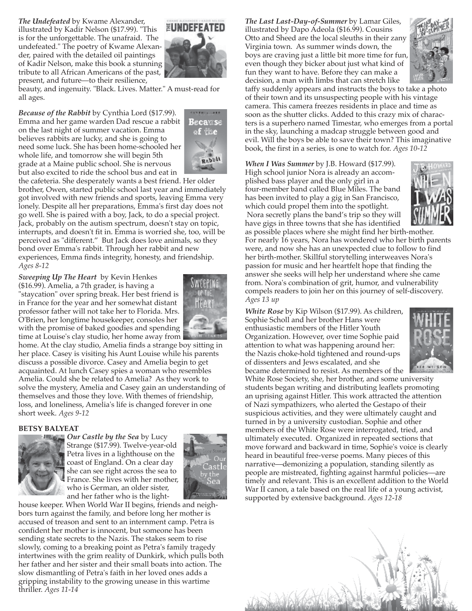*The Undefeated* by Kwame Alexander, illustrated by Kadir Nelson (\$17.99). "This is for the unforgettable. The unafraid. The undefeated." The poetry of Kwame Alexander, paired with the detailed oil paintings of Kadir Nelson, make this book a stunning tribute to all African Americans of the past, present, and future—to their resilience,



beauty, and ingenuity. "Black. Lives. Matter." A must-read for all ages.

*Because of the Rabbit* by Cynthia Lord (\$17.99). Emma and her game warden Dad rescue a rabbit on the last night of summer vacation. Emma believes rabbits are lucky, and she is going to need some luck. She has been home-schooled her whole life, and tomorrow she will begin 5th grade at a Maine public school. She is nervous but also excited to ride the school bus and eat in



the cafeteria. She desperately wants a best friend. Her older brother, Owen, started public school last year and immediately got involved with new friends and sports, leaving Emma very lonely. Despite all her preparations, Emma's first day does not go well. She is paired with a boy, Jack, to do a special project. Jack, probably on the autism spectrum, doesn't stay on topic, interrupts, and doesn't fit in. Emma is worried she, too, will be perceived as "different." But Jack does love animals, so they bond over Emma's rabbit. Through her rabbit and new experiences, Emma finds integrity, honesty, and friendship. *Ages 8-12*

*Sweeping Up The Heart* by Kevin Henkes

(\$16.99). Amelia, a 7th grader, is having a "staycation" over spring break. Her best friend is in France for the year and her somewhat distant professor father will not take her to Florida. Mrs. O'Brien, her longtime housekeeper, consoles her with the promise of baked goodies and spending time at Louise's clay studio, her home away from



home. At the clay studio, Amelia finds a strange boy sitting in her place. Casey is visiting his Aunt Louise while his parents discuss a possible divorce. Casey and Amelia begin to get acquainted. At lunch Casey spies a woman who resembles Amelia. Could she be related to Amelia? As they work to solve the mystery, Amelia and Casey gain an understanding of themselves and those they love. With themes of friendship, loss, and loneliness, Amelia's life is changed forever in one short week. *Ages 9-12*

#### **BETSY BALYEAT**



*Our Castle by the Sea* by Lucy Strange (\$17.99). Twelve-year-old Petra lives in a lighthouse on the coast of England. On a clear day she can see right across the sea to France. She lives with her mother, who is German, an older sister, and her father who is the light-



house keeper. When World War II begins, friends and neighbors turn against the family, and before long her mother is accused of treason and sent to an internment camp. Petra is confident her mother is innocent, but someone has been sending state secrets to the Nazis. The stakes seem to rise slowly, coming to a breaking point as Petra's family tragedy intertwines with the grim reality of Dunkirk, which pulls both her father and her sister and their small boats into action. The slow dismantling of Petra's faith in her loved ones adds a gripping instability to the growing unease in this wartime thriller. *Ages 11-14* 

*The Last Last-Day-of-Summer* by Lamar Giles, illustrated by Dapo Adeola (\$16.99). Cousins Otto and Sheed are the local sleuths in their zany Virginia town. As summer winds down, the boys are craving just a little bit more time for fun, even though they bicker about just what kind of fun they want to have. Before they can make a decision, a man with limbs that can stretch like



taffy suddenly appears and instructs the boys to take a photo of their town and its unsuspecting people with his vintage camera. This camera freezes residents in place and time as soon as the shutter clicks. Added to this crazy mix of characters is a superhero named Timestar, who emerges from a portal in the sky, launching a madcap struggle between good and evil. Will the boys be able to save their town? This imaginative book, the first in a series, is one to watch for. *Ages 10-12* 

*When I Was Summer* by J.B. Howard (\$17.99). High school junior Nora is already an accomplished bass player and the only girl in a four-member band called Blue Miles. The band has been invited to play a gig in San Francisco, which could propel them into the spotlight. Nora secretly plans the band's trip so they will have gigs in three towns that she has identified



as possible places where she might find her birth-mother. For nearly 16 years, Nora has wondered who her birth parents were, and now she has an unexpected clue to follow to find her birth-mother. Skillful storytelling interweaves Nora's passion for music and her heartfelt hope that finding the answer she seeks will help her understand where she came from. Nora's combination of grit, humor, and vulnerability compels readers to join her on this journey of self-discovery. *Ages 13 up* 

*White Rose* by Kip Wilson (\$17.99). As children, Sophie Scholl and her brother Hans were enthusiastic members of the Hitler Youth Organization. However, over time Sophie paid attention to what was happening around her: the Nazis choke-hold tightened and round-ups of dissenters and Jews escalated, and she became determined to resist. As members of the



White Rose Society, she, her brother, and some university students began writing and distributing leaflets promoting an uprising against Hitler. This work attracted the attention of Nazi sympathizers, who alerted the Gestapo of their suspicious activities, and they were ultimately caught and turned in by a university custodian. Sophie and other members of the White Rose were interrogated, tried, and ultimately executed. Organized in repeated sections that move forward and backward in time, Sophie's voice is clearly heard in beautiful free-verse poems. Many pieces of this narrative—demonizing a population, standing silently as people are mistreated, fighting against harmful policies—are timely and relevant. This is an excellent addition to the World War II canon, a tale based on the real life of a young activist, supported by extensive background. *Ages 12-18*